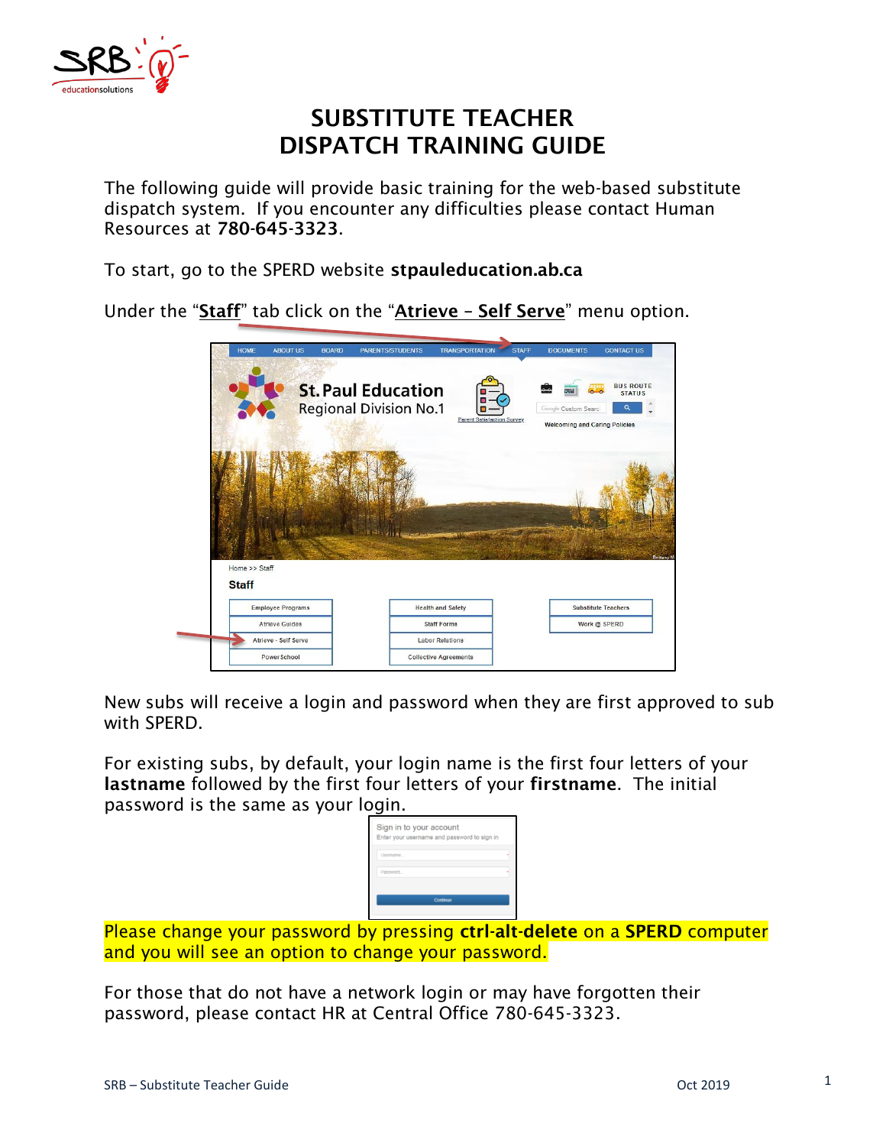

### **SUBSTITUTE TEACHER DISPATCH TRAINING GUIDE**

The following guide will provide basic training for the web-based substitute dispatch system. If you encounter any difficulties please contact Human Resources at **780-645-3323**.

To start, go to the SPERD website **stpauleducation.ab.ca**

Under the "**Staff**" tab click on the "**Atrieve – Self Serve**" menu option.

|                                          | <b>ABOUT US</b><br><b>BOARD</b> | PARENTS/STUDENTS                                           | <b>TRANSPORTATION</b>             | <b>STAFF</b> | <b>DOCUMENTS</b>                                                    | <b>CONTACT US</b>                      |
|------------------------------------------|---------------------------------|------------------------------------------------------------|-----------------------------------|--------------|---------------------------------------------------------------------|----------------------------------------|
|                                          |                                 | <b>St. Paul Education</b><br><b>Regional Division No.1</b> | <b>Parent Satisfaction Survey</b> |              | an.<br>Google Custom Search<br><b>Welcoming and Caring Policies</b> | <b>BUS ROUTE</b><br><b>STATUS</b><br>Q |
|                                          |                                 |                                                            |                                   |              |                                                                     |                                        |
|                                          |                                 |                                                            |                                   |              |                                                                     |                                        |
|                                          |                                 |                                                            |                                   |              |                                                                     |                                        |
| Home >> Staff                            |                                 |                                                            |                                   |              |                                                                     |                                        |
| <b>Staff</b><br><b>Employee Programs</b> |                                 |                                                            | <b>Health and Safety</b>          |              |                                                                     | <b>Substitute Teachers</b>             |
| <b>Atrieve Guides</b>                    |                                 |                                                            | <b>Staff Forms</b>                |              |                                                                     | Work @ SPERD                           |
| Atrieve - Self Serve                     |                                 |                                                            | <b>Labor Relations</b>            |              |                                                                     | Brittany M                             |

New subs will receive a login and password when they are first approved to sub with SPERD.

For existing subs, by default, your login name is the first four letters of your **lastname** followed by the first four letters of your **firstname**. The initial password is the same as your login.

| Usemame  |  |
|----------|--|
| Password |  |
| Continue |  |

Please change your password by pressing **ctrl-alt-delete** on a **SPERD** computer and you will see an option to change your password.

For those that do not have a network login or may have forgotten their password, please contact HR at Central Office 780-645-3323.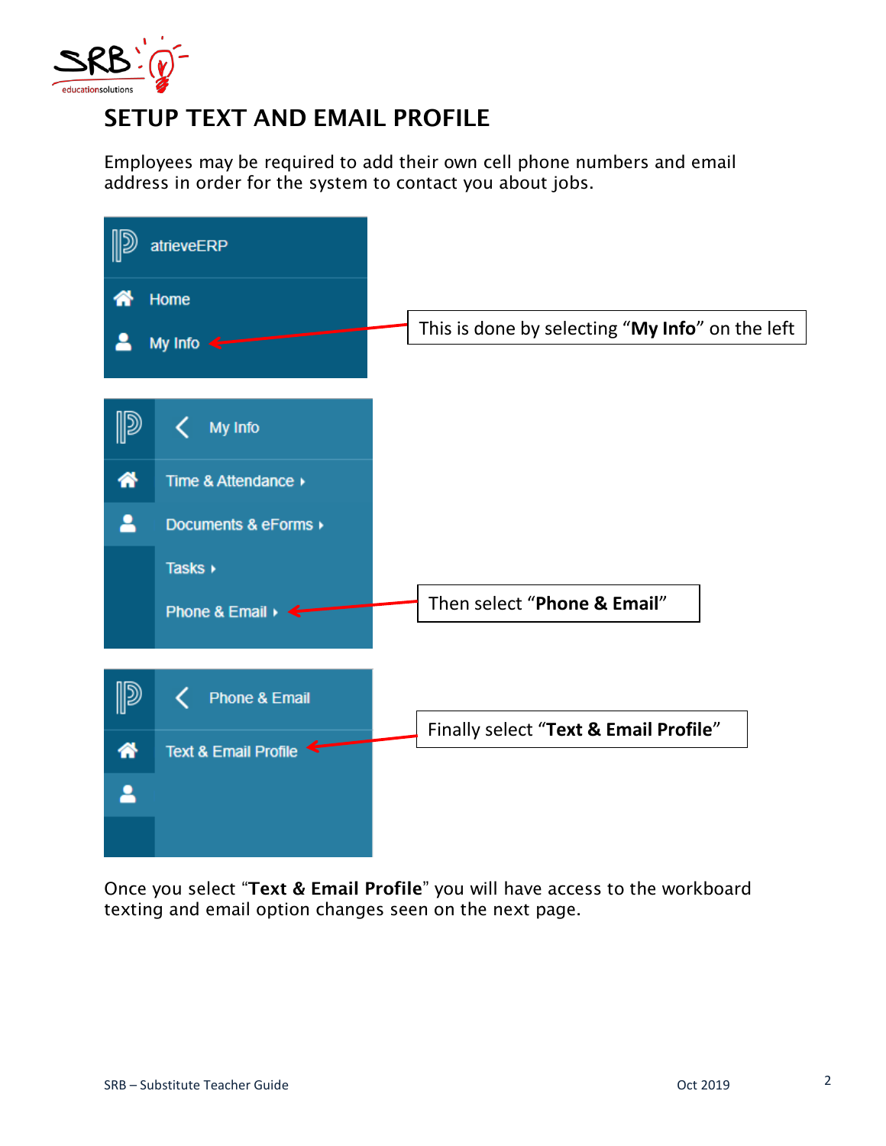

# **SETUP TEXT AND EMAIL PROFILE**

Employees may be required to add their own cell phone numbers and email address in order for the system to contact you about jobs.

|   | atrieveERP                               |                                                 |
|---|------------------------------------------|-------------------------------------------------|
|   | Home<br>My Info $\leftarrow$             | This is done by selecting "My Info" on the left |
|   | My Info                                  |                                                 |
| 带 | Time & Attendance ▶                      |                                                 |
| ≗ | Documents & eForms ▶                     |                                                 |
|   | Tasks >                                  |                                                 |
|   | Phone & Email $\rightarrow$ $\leftarrow$ | Then select "Phone & Email"                     |
|   |                                          |                                                 |
|   | Phone & Email                            |                                                 |
| 俗 | Text & Email Profile '                   | Finally select "Text & Email Profile"           |
|   |                                          |                                                 |
|   |                                          |                                                 |

Once you select "**Text & Email Profile**" you will have access to the workboard texting and email option changes seen on the next page.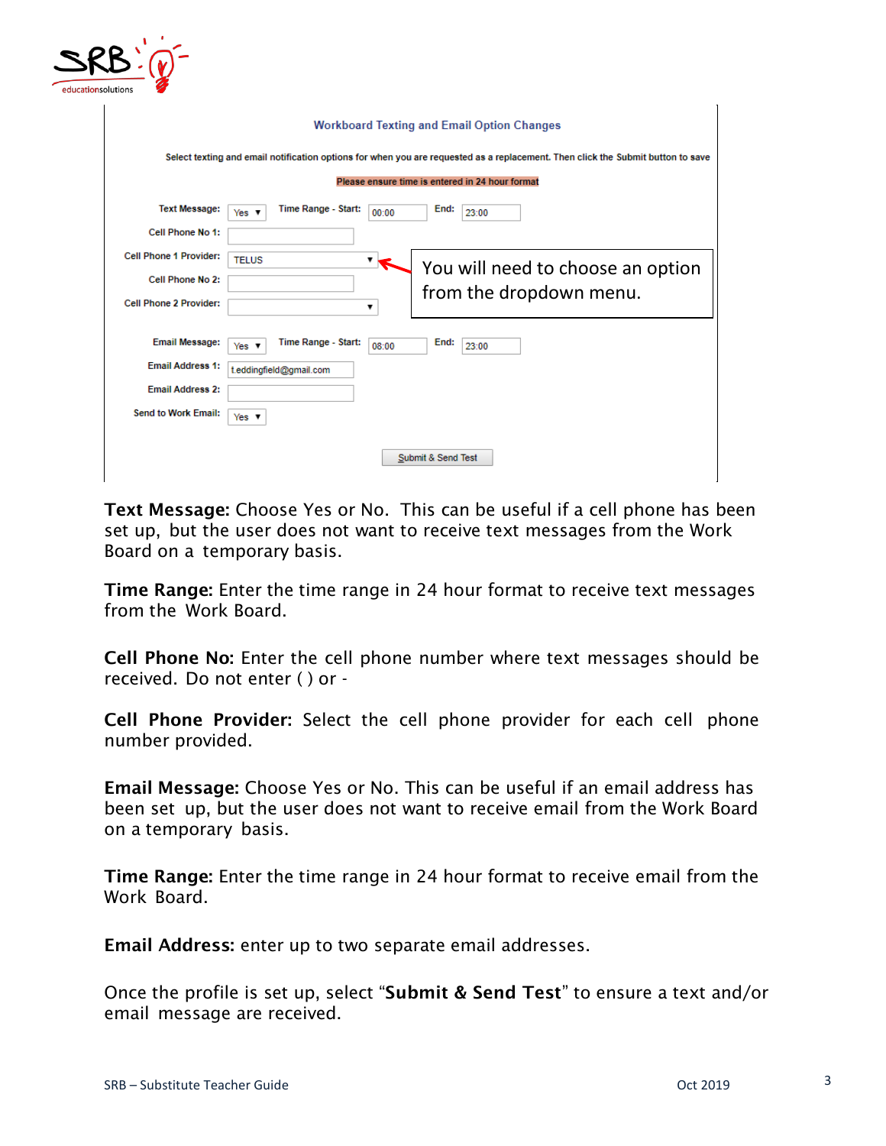

|                               | <b>Workboard Texting and Email Option Changes</b>                                                                               |  |  |  |  |  |  |  |  |  |  |
|-------------------------------|---------------------------------------------------------------------------------------------------------------------------------|--|--|--|--|--|--|--|--|--|--|
|                               | Select texting and email notification options for when you are requested as a replacement. Then click the Submit button to save |  |  |  |  |  |  |  |  |  |  |
|                               | Please ensure time is entered in 24 hour format                                                                                 |  |  |  |  |  |  |  |  |  |  |
| <b>Text Message:</b>          | Time Range - Start:<br>End:<br>23:00<br>00:00<br>Yes $\mathbf v$                                                                |  |  |  |  |  |  |  |  |  |  |
| Cell Phone No 1:              |                                                                                                                                 |  |  |  |  |  |  |  |  |  |  |
| <b>Cell Phone 1 Provider:</b> | <b>TELUS</b><br>▼<br>You will need to choose an option                                                                          |  |  |  |  |  |  |  |  |  |  |
| Cell Phone No 2:              | from the dropdown menu.                                                                                                         |  |  |  |  |  |  |  |  |  |  |
| <b>Cell Phone 2 Provider:</b> | ▼                                                                                                                               |  |  |  |  |  |  |  |  |  |  |
| <b>Email Message:</b>         | Time Range - Start:<br>End:<br>08:00<br>23:00<br>Yes $\mathbf v$                                                                |  |  |  |  |  |  |  |  |  |  |
| <b>Email Address 1:</b>       | t.eddingfield@gmail.com                                                                                                         |  |  |  |  |  |  |  |  |  |  |
| <b>Email Address 2:</b>       |                                                                                                                                 |  |  |  |  |  |  |  |  |  |  |
| <b>Send to Work Email:</b>    | Yes $\overline{\mathbf{v}}$                                                                                                     |  |  |  |  |  |  |  |  |  |  |
|                               | Submit & Send Test                                                                                                              |  |  |  |  |  |  |  |  |  |  |

**Text Message:** Choose Yes or No. This can be useful if a cell phone has been set up, but the user does not want to receive text messages from the Work Board on a temporary basis.

**Time Range:** Enter the time range in 24 hour format to receive text messages from the Work Board.

**Cell Phone No:** Enter the cell phone number where text messages should be received. Do not enter ( ) or -

**Cell Phone Provider:** Select the cell phone provider for each cell phone number provided.

**Email Message:** Choose Yes or No. This can be useful if an email address has been set up, but the user does not want to receive email from the Work Board on a temporary basis.

**Time Range:** Enter the time range in 24 hour format to receive email from the Work Board.

**Email Address:** enter up to two separate email addresses.

Once the profile is set up, select "**Submit & Send Test**" to ensure a text and/or email message are received.

 $\mathbf{L}$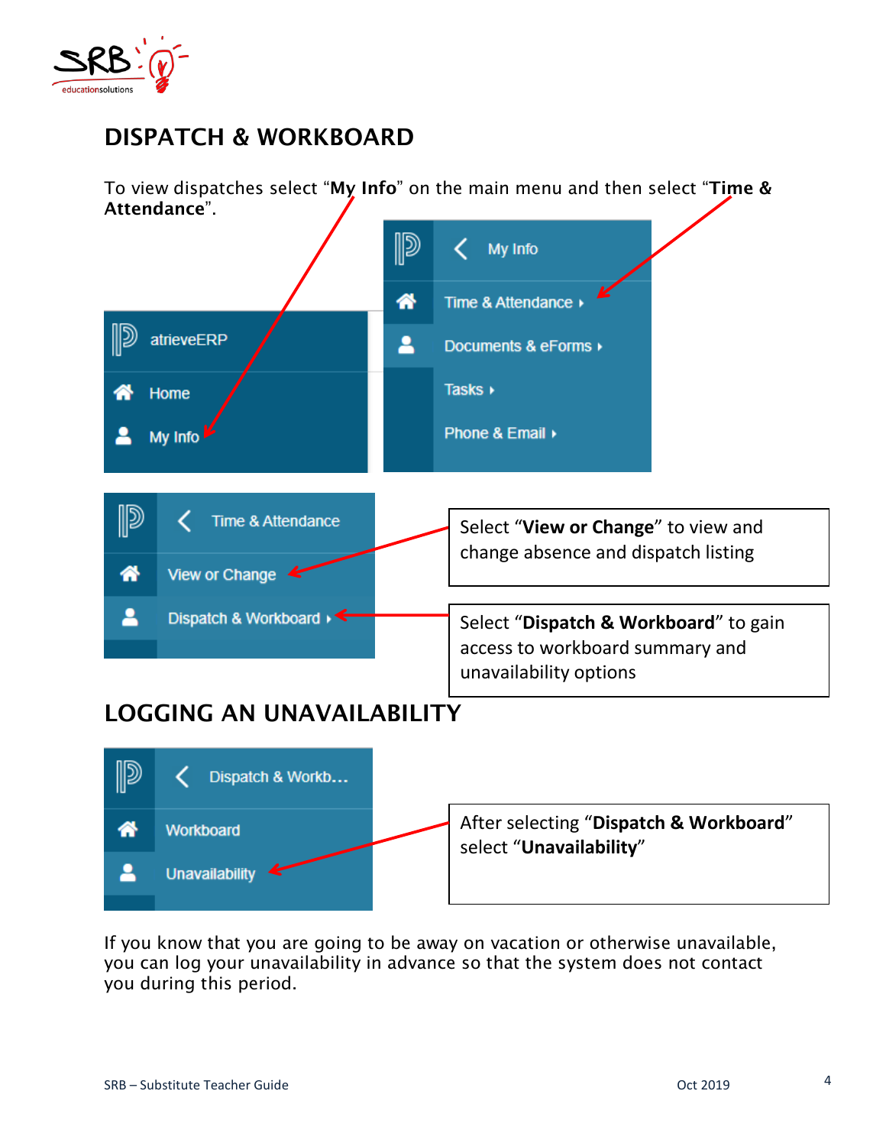

# **DISPATCH & WORKBOARD**

To view dispatches select "**My Info**" on the main menu and then select "**Time & Attendance**".



If you know that you are going to be away on vacation or otherwise unavailable, you can log your unavailability in advance so that the system does not contact you during this period.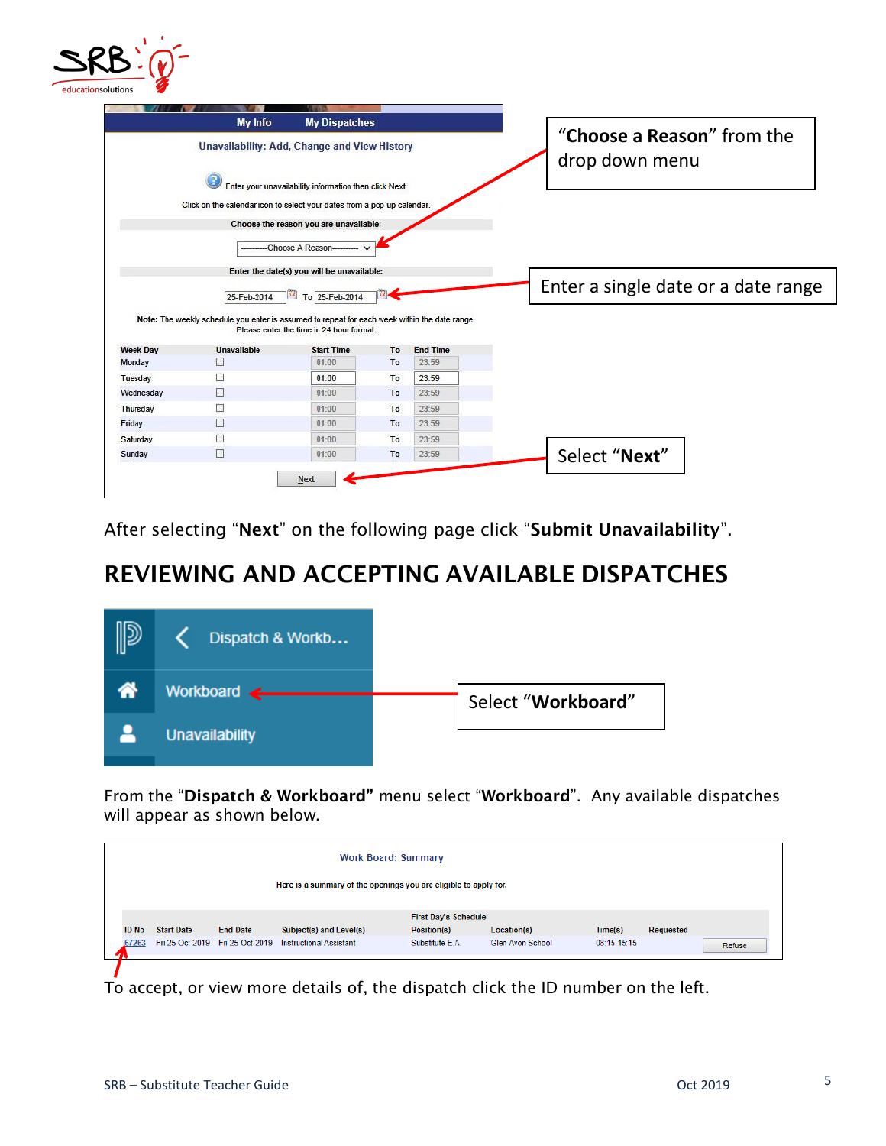

|                                                                                     | My Info                                                                                       | <b>My Dispatches</b>                                   |    |                 |                                     |  |  |                            |  |
|-------------------------------------------------------------------------------------|-----------------------------------------------------------------------------------------------|--------------------------------------------------------|----|-----------------|-------------------------------------|--|--|----------------------------|--|
|                                                                                     | Unavailability: Add, Change and View History                                                  |                                                        |    |                 |                                     |  |  | "Choose a Reason" from the |  |
|                                                                                     |                                                                                               | Enter your unavailability information then click Next. |    |                 | drop down menu                      |  |  |                            |  |
|                                                                                     | Click on the calendar icon to select your dates from a pop-up calendar.                       |                                                        |    |                 |                                     |  |  |                            |  |
|                                                                                     |                                                                                               | Choose the reason you are unavailable:                 |    |                 |                                     |  |  |                            |  |
|                                                                                     |                                                                                               | Choose A Reason-                                       |    |                 |                                     |  |  |                            |  |
|                                                                                     |                                                                                               |                                                        |    |                 |                                     |  |  |                            |  |
|                                                                                     |                                                                                               |                                                        |    |                 |                                     |  |  |                            |  |
|                                                                                     |                                                                                               | Enter the date(s) you will be unavailable:             |    |                 |                                     |  |  |                            |  |
|                                                                                     | 25-Feb-2014                                                                                   | To 25-Feb-2014<br>12                                   |    |                 | Enter a single date or a date range |  |  |                            |  |
|                                                                                     | Note: The weekly schedule you enter is assumed to repeat for each week within the date range. | Please enter the time in 24 hour format.               |    |                 |                                     |  |  |                            |  |
|                                                                                     | <b>Unavailable</b>                                                                            | <b>Start Time</b>                                      | To | <b>End Time</b> |                                     |  |  |                            |  |
|                                                                                     | D                                                                                             | 01:00                                                  | To | 23:59           |                                     |  |  |                            |  |
|                                                                                     | L.                                                                                            | 01:00                                                  | To | 23:59           |                                     |  |  |                            |  |
|                                                                                     | П                                                                                             | 01:00                                                  | To | 23:59           |                                     |  |  |                            |  |
|                                                                                     | $\Box$                                                                                        | 01:00                                                  | To | 23:59           |                                     |  |  |                            |  |
|                                                                                     | П                                                                                             | 01:00                                                  | To | 23:59           |                                     |  |  |                            |  |
| <b>Week Day</b><br>Monday<br>Tuesday<br>Wednesday<br>Thursday<br>Friday<br>Saturday | □                                                                                             | 01:00                                                  | To | 23:59           |                                     |  |  |                            |  |

After selecting "**Next**" on the following page click "**Submit Unavailability**".

## **REVIEWING AND ACCEPTING AVAILABLE DISPATCHES**



From the "**Dispatch & Workboard"** menu select "**Workboard**". Any available dispatches will appear as shown below.

|                                                                  | <b>Work Board: Summary</b> |                                    |                                |                             |                  |             |           |        |  |  |  |
|------------------------------------------------------------------|----------------------------|------------------------------------|--------------------------------|-----------------------------|------------------|-------------|-----------|--------|--|--|--|
| Here is a summary of the openings you are eligible to apply for. |                            |                                    |                                |                             |                  |             |           |        |  |  |  |
|                                                                  |                            |                                    |                                | <b>First Day's Schedule</b> |                  |             |           |        |  |  |  |
| <b>ID No</b>                                                     | <b>Start Date</b>          | <b>End Date</b>                    | Subject(s) and Level(s)        | Position(s)                 | Location(s)      | Time(s)     | Requested |        |  |  |  |
| 67263                                                            |                            | Fri 25-Oct-2019    Fri 25-Oct-2019 | <b>Instructional Assistant</b> | Substitute E.A.             | Glen Avon School | 08:15-15:15 |           | Refuse |  |  |  |
|                                                                  |                            |                                    |                                |                             |                  |             |           |        |  |  |  |

To accept, or view more details of, the dispatch click the ID number on the left.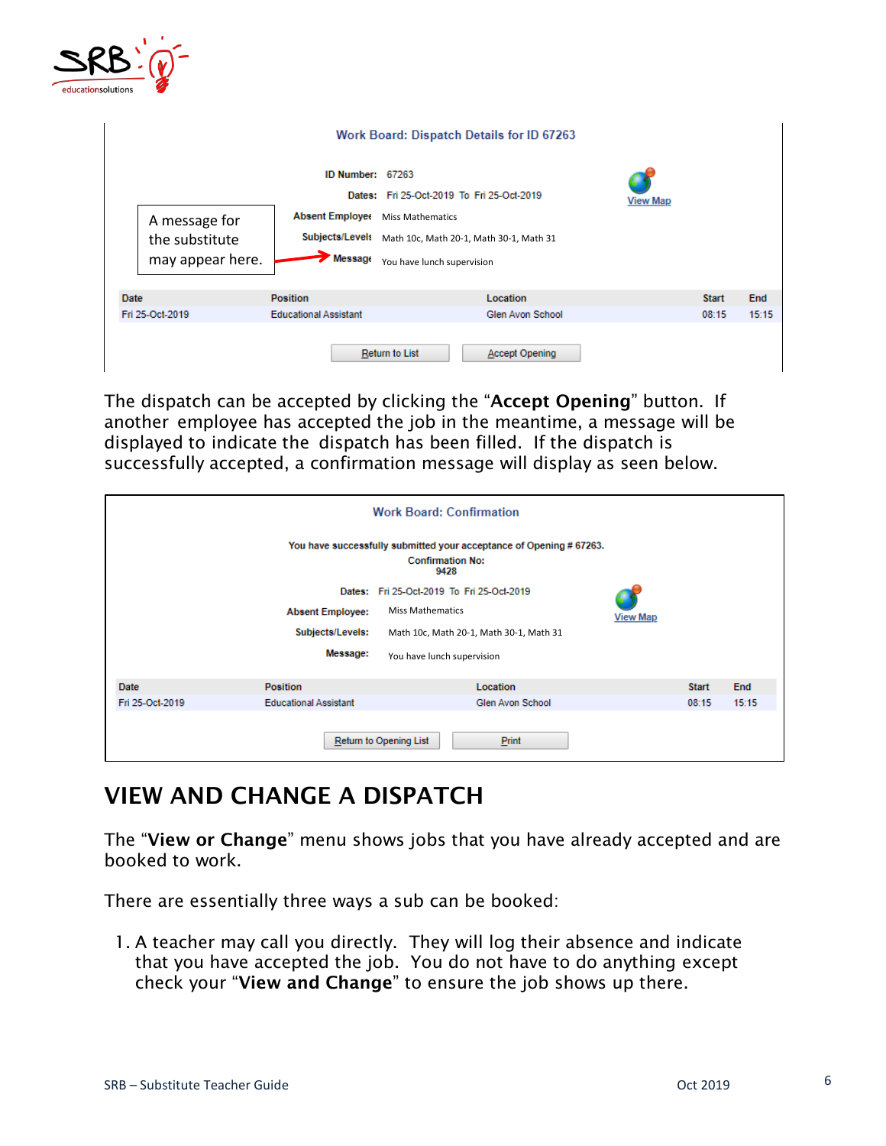

|                                                     | Work Board: Dispatch Details for ID 67263                                                                                                                                                                                 |                       |                 |              |       |
|-----------------------------------------------------|---------------------------------------------------------------------------------------------------------------------------------------------------------------------------------------------------------------------------|-----------------------|-----------------|--------------|-------|
| A message for<br>the substitute<br>may appear here. | ID Number: 67263<br>Dates: Fri 25-Oct-2019 To Fri 25-Oct-2019<br><b>Absent Employee</b><br><b>Miss Mathematics</b><br>Subjects/Levels<br>Math 10c, Math 20-1, Math 30-1, Math 31<br>Message<br>You have lunch supervision |                       | <b>View Map</b> |              |       |
| Date                                                | <b>Position</b>                                                                                                                                                                                                           | Location              |                 | <b>Start</b> | End   |
| Fri 25-Oct-2019                                     | <b>Educational Assistant</b>                                                                                                                                                                                              | Glen Avon School      |                 | 08:15        | 15:15 |
|                                                     | Return to List                                                                                                                                                                                                            | <b>Accept Opening</b> |                 |              |       |

The dispatch can be accepted by clicking the "**Accept Opening**" button. If another employee has accepted the job in the meantime, a message will be displayed to indicate the dispatch has been filled. If the dispatch is successfully accepted, a confirmation message will display as seen below.

|                 |                              | <b>Work Board: Confirmation</b>                                                                       |                 |              |       |
|-----------------|------------------------------|-------------------------------------------------------------------------------------------------------|-----------------|--------------|-------|
|                 |                              | You have successfully submitted your acceptance of Opening #67263.<br><b>Confirmation No:</b><br>9428 |                 |              |       |
|                 |                              | Dates: Fri 25-Oct-2019 To Fri 25-Oct-2019                                                             |                 |              |       |
|                 | <b>Absent Employee:</b>      | <b>Miss Mathematics</b>                                                                               | <b>View Map</b> |              |       |
|                 | Subjects/Levels:             | Math 10c, Math 20-1, Math 30-1, Math 31                                                               |                 |              |       |
|                 | Message:                     | You have lunch supervision                                                                            |                 |              |       |
| Date            | <b>Position</b>              | Location                                                                                              |                 | <b>Start</b> | End   |
| Fri 25-Oct-2019 | <b>Educational Assistant</b> | Glen Avon School                                                                                      |                 | 08:15        | 15:15 |
|                 |                              | Return to Opening List<br><b>Print</b>                                                                |                 |              |       |

## **VIEW AND CHANGE A DISPATCH**

The "**View or Change**" menu shows jobs that you have already accepted and are booked to work.

There are essentially three ways a sub can be booked:

1. A teacher may call you directly. They will log their absence and indicate that you have accepted the job. You do not have to do anything except check your "**View and Change**" to ensure the job shows up there.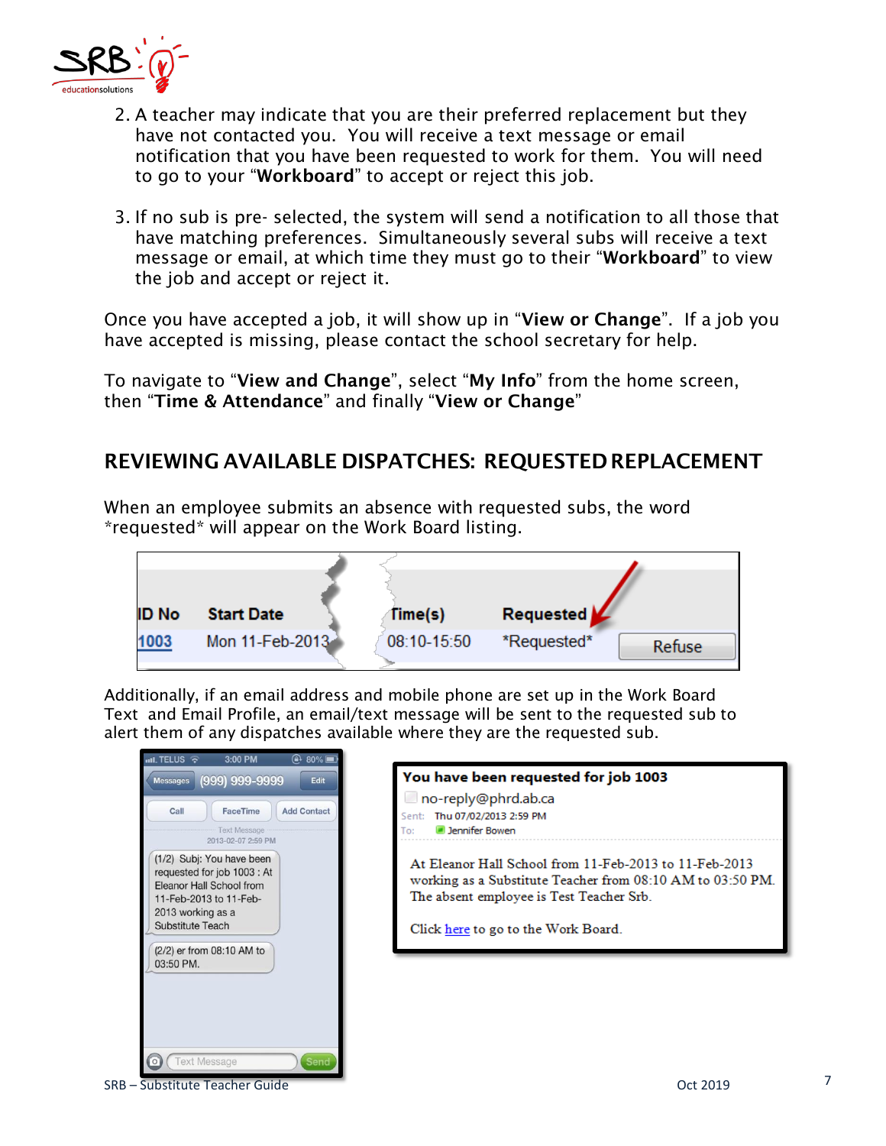

- 2. A teacher may indicate that you are their preferred replacement but they have not contacted you. You will receive a text message or email notification that you have been requested to work for them. You will need to go to your "**Workboard**" to accept or reject this job.
- 3. If no sub is pre- selected, the system will send a notification to all those that have matching preferences. Simultaneously several subs will receive a text message or email, at which time they must go to their "**Workboard**" to view the job and accept or reject it.

Once you have accepted a job, it will show up in "**View or Change**". If a job you have accepted is missing, please contact the school secretary for help.

To navigate to "**View and Change**", select "**My Info**" from the home screen, then "**Time & Attendance**" and finally "**View or Change**"

### **REVIEWING AVAILABLE DISPATCHES: REQUESTEDREPLACEMENT**

When an employee submits an absence with requested subs, the word \*requested\* will appear on the Work Board listing.



Additionally, if an email address and mobile phone are set up in the Work Board Text and Email Profile, an email/text message will be sent to the requested sub to alert them of any dispatches available where they are the requested sub.

| $\bigoplus$ 80%<br>$mL$ TELUS $\widehat{\mathcal{R}}$<br>3:00 PM                                                                                                                            |                                                                                                                                                                                                         |
|---------------------------------------------------------------------------------------------------------------------------------------------------------------------------------------------|---------------------------------------------------------------------------------------------------------------------------------------------------------------------------------------------------------|
| (999) 999-9999<br>Edit<br><b>Messages</b><br>Call<br><b>FaceTime</b><br><b>Add Contact</b><br><b>Text Message</b><br>2013-02-07 2:59 PM                                                     | You have been requested for job 1003<br>no-reply@phrd.ab.ca<br>Thu 07/02/2013 2:59 PM<br>Sent:<br><b>D</b> Jennifer Bowen<br>To:                                                                        |
| (1/2) Subj: You have been<br>requested for job 1003 : At<br>Eleanor Hall School from<br>11-Feb-2013 to 11-Feb-<br>2013 working as a<br><b>Substitute Teach</b><br>(2/2) er from 08:10 AM to | At Eleanor Hall School from 11-Feb-2013 to 11-Feb-2013<br>working as a Substitute Teacher from 08:10 AM to 03:50 PM.<br>The absent employee is Test Teacher Srb.<br>Click here to go to the Work Board. |
| 03:50 PM.<br><b>Text Message</b><br>Send<br>۲o٦                                                                                                                                             |                                                                                                                                                                                                         |

SRB – Substitute Teacher Guide **Contract Contract Contract Contract Contract Contract Contract Contract Contract Contract Contract Contract Contract Contract Contract Contract Contract Contract Contract Contract Contract C**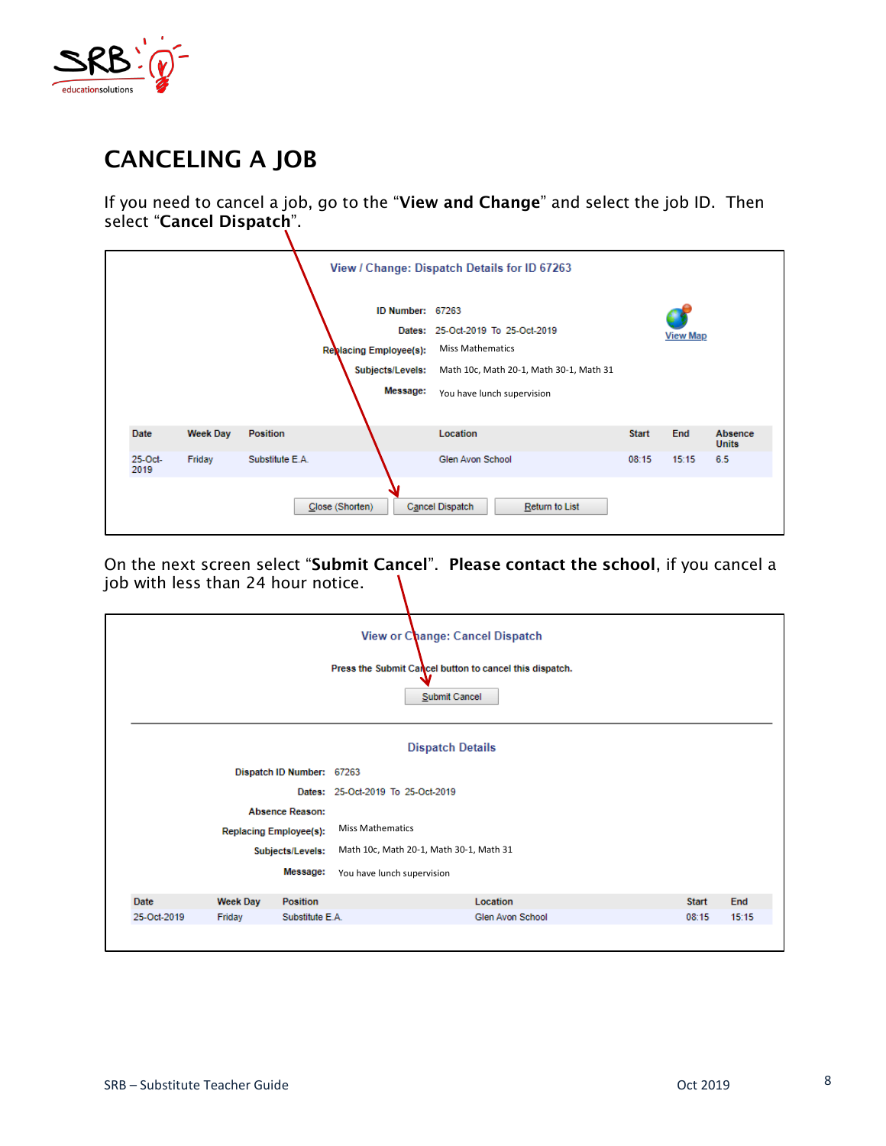

# **CANCELING A JOB**

If you need to cancel a job, go to the "**View and Change**" and select the job ID. Then select "**Cancel Dispatch**".

|                 |                 |                 | ID Number: 67263<br>Replacing Employee(s):<br>Subjects/Levels:<br>Message: | View / Change: Dispatch Details for ID 67263<br>Dates: 25-Oct-2019 To 25-Oct-2019<br><b>Miss Mathematics</b><br>Math 10c, Math 20-1, Math 30-1, Math 31<br>You have lunch supervision |              | <b>View Map</b> |                         |
|-----------------|-----------------|-----------------|----------------------------------------------------------------------------|---------------------------------------------------------------------------------------------------------------------------------------------------------------------------------------|--------------|-----------------|-------------------------|
| Date            | <b>Week Day</b> | <b>Position</b> |                                                                            | Location                                                                                                                                                                              | <b>Start</b> | End             | Absence<br><b>Units</b> |
| 25-Oct-<br>2019 | Friday          | Substitute E.A. |                                                                            | Glen Avon School                                                                                                                                                                      | 08:15        | 15:15           | 6.5                     |
|                 |                 |                 | Close (Shorten)                                                            | Cancel Dispatch<br>Return to List                                                                                                                                                     |              |                 |                         |

On the next screen select "**Submit Cancel**". **Please contact the school**, if you cancel a job with less than 24 hour notice.

|             |                 |                               |                                         | View or Change: Cancel Dispatch<br>Press the Submit Cancel button to cancel this dispatch.<br>Submit Cancel |              |       |
|-------------|-----------------|-------------------------------|-----------------------------------------|-------------------------------------------------------------------------------------------------------------|--------------|-------|
|             |                 |                               |                                         | <b>Dispatch Details</b>                                                                                     |              |       |
|             |                 | Dispatch ID Number: 67263     |                                         |                                                                                                             |              |       |
|             |                 |                               | Dates: 25-Oct-2019 To 25-Oct-2019       |                                                                                                             |              |       |
|             |                 | <b>Absence Reason:</b>        |                                         |                                                                                                             |              |       |
|             |                 | <b>Replacing Employee(s):</b> | <b>Miss Mathematics</b>                 |                                                                                                             |              |       |
|             |                 | Subjects/Levels:              | Math 10c, Math 20-1, Math 30-1, Math 31 |                                                                                                             |              |       |
|             |                 | Message:                      | You have lunch supervision              |                                                                                                             |              |       |
| <b>Date</b> | <b>Week Day</b> | <b>Position</b>               |                                         | Location                                                                                                    | <b>Start</b> | End   |
| 25-Oct-2019 | Friday          | Substitute E.A.               |                                         | Glen Avon School                                                                                            | 08:15        | 15:15 |
|             |                 |                               |                                         |                                                                                                             |              |       |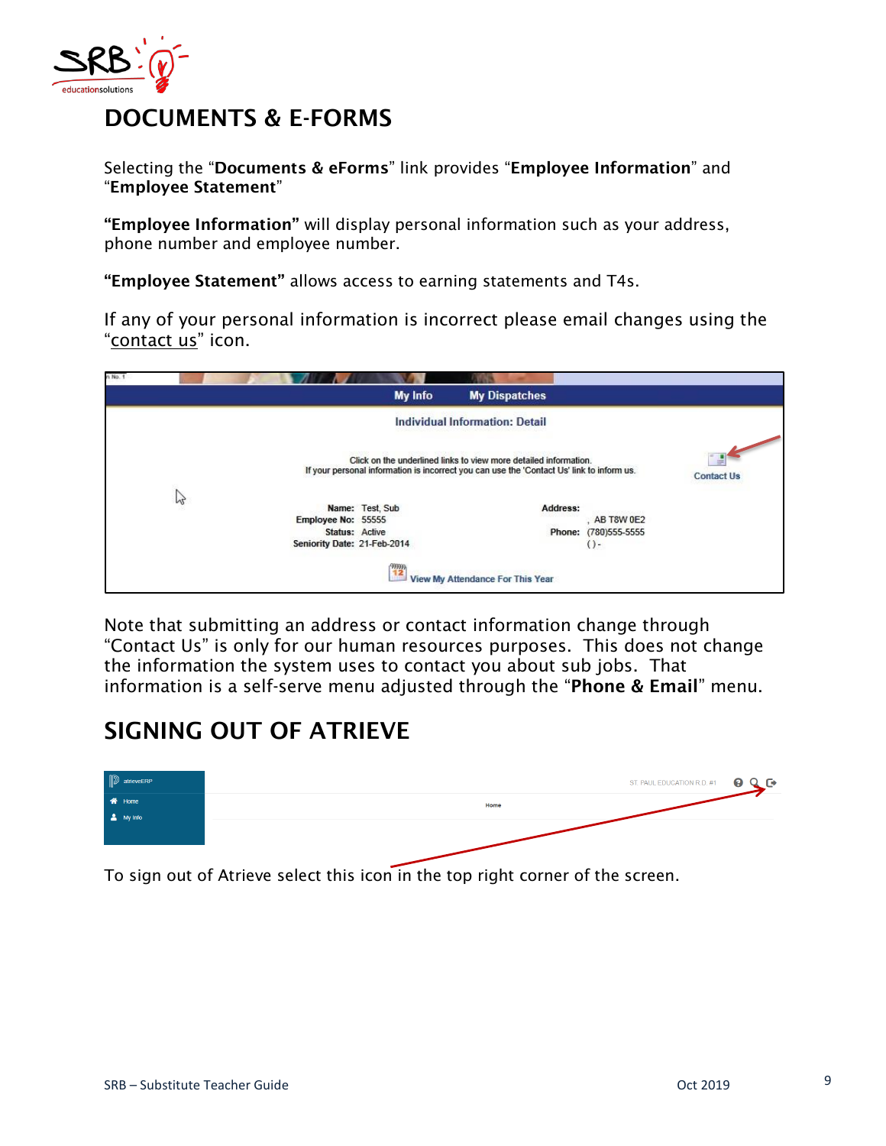

## **DOCUMENTS & E-FORMS**

Selecting the "**Documents & eForms**" link provides "**Employee Information**" and "**Employee Statement**"

**"Employee Information"** will display personal information such as your address, phone number and employee number.

**"Employee Statement"** allows access to earning statements and T4s.

If any of your personal information is incorrect please email changes using the "contact us" icon.

|   |                             | My Info         | <b>My Dispatches</b>                                                                                                                                          |                   |
|---|-----------------------------|-----------------|---------------------------------------------------------------------------------------------------------------------------------------------------------------|-------------------|
|   |                             |                 | <b>Individual Information: Detail</b>                                                                                                                         |                   |
|   |                             |                 | Click on the underlined links to view more detailed information.<br>If your personal information is incorrect you can use the 'Contact Us' link to inform us. | <b>Contact Us</b> |
| M |                             | Name: Test, Sub | Address:                                                                                                                                                      |                   |
|   | Employee No: 55555          |                 | AB T8W 0E2                                                                                                                                                    |                   |
|   | Status: Active              |                 | (780) 555-5555<br>Phone:                                                                                                                                      |                   |
|   | Seniority Date: 21-Feb-2014 |                 | $() -$                                                                                                                                                        |                   |
|   |                             | 12              |                                                                                                                                                               |                   |
|   |                             |                 | View My Attendance For This Year                                                                                                                              |                   |

Note that submitting an address or contact information change through "Contact Us" is only for our human resources purposes. This does not change the information the system uses to contact you about sub jobs. That information is a self-serve menu adjusted through the "**Phone & Email**" menu.

### **SIGNING OUT OF ATRIEVE**



To sign out of Atrieve select this icon in the top right corner of the screen.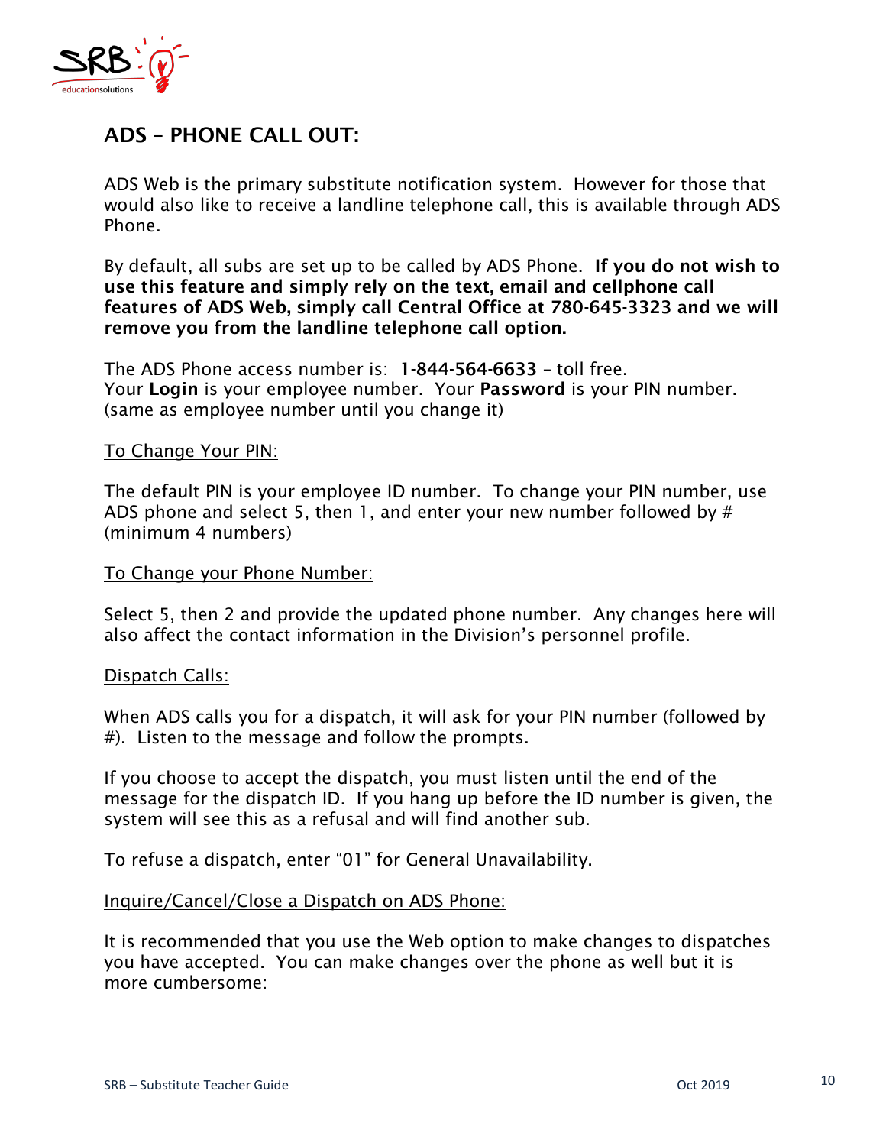

### **ADS – PHONE CALL OUT:**

ADS Web is the primary substitute notification system. However for those that would also like to receive a landline telephone call, this is available through ADS Phone.

By default, all subs are set up to be called by ADS Phone. **If you do not wish to use this feature and simply rely on the text, email and cellphone call features of ADS Web, simply call Central Office at 780-645-3323 and we will remove you from the landline telephone call option.**

The ADS Phone access number is: **1-844-564-6633** – toll free. Your **Login** is your employee number. Your **Password** is your PIN number. (same as employee number until you change it)

### To Change Your PIN:

The default PIN is your employee ID number. To change your PIN number, use ADS phone and select 5, then 1, and enter your new number followed by  $#$ (minimum 4 numbers)

#### To Change your Phone Number:

Select 5, then 2 and provide the updated phone number. Any changes here will also affect the contact information in the Division's personnel profile.

### Dispatch Calls:

When ADS calls you for a dispatch, it will ask for your PIN number (followed by #). Listen to the message and follow the prompts.

If you choose to accept the dispatch, you must listen until the end of the message for the dispatch ID. If you hang up before the ID number is given, the system will see this as a refusal and will find another sub.

To refuse a dispatch, enter "01" for General Unavailability.

### Inquire/Cancel/Close a Dispatch on ADS Phone:

It is recommended that you use the Web option to make changes to dispatches you have accepted. You can make changes over the phone as well but it is more cumbersome: